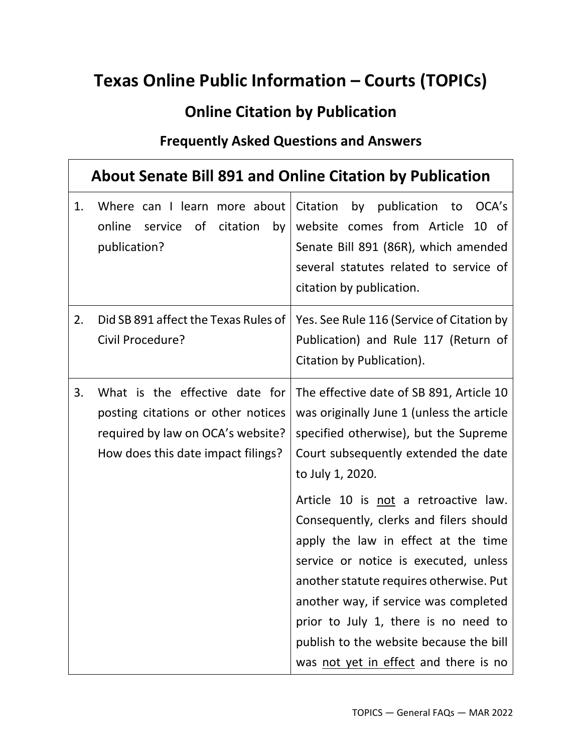## **Texas Online Public Information – Courts (TOPICs)**

## **Online Citation by Publication**

## **Frequently Asked Questions and Answers**

|    |                                                                                                                                                 | <b>About Senate Bill 891 and Online Citation by Publication</b>                                                                                                                                                                                                                                                                                                                                                                                                                                                                                                              |
|----|-------------------------------------------------------------------------------------------------------------------------------------------------|------------------------------------------------------------------------------------------------------------------------------------------------------------------------------------------------------------------------------------------------------------------------------------------------------------------------------------------------------------------------------------------------------------------------------------------------------------------------------------------------------------------------------------------------------------------------------|
| 1. | Where can I learn more about<br>online<br>0f<br>citation<br>by<br>service<br>publication?                                                       | Citation<br>by<br>publication<br>OCA's<br>to<br>website comes from Article<br>$10$ of<br>Senate Bill 891 (86R), which amended<br>several statutes related to service of<br>citation by publication.                                                                                                                                                                                                                                                                                                                                                                          |
| 2. | Did SB 891 affect the Texas Rules of<br>Civil Procedure?                                                                                        | Yes. See Rule 116 (Service of Citation by<br>Publication) and Rule 117 (Return of<br>Citation by Publication).                                                                                                                                                                                                                                                                                                                                                                                                                                                               |
| 3. | What is the effective date for<br>posting citations or other notices<br>required by law on OCA's website?<br>How does this date impact filings? | The effective date of SB 891, Article 10<br>was originally June 1 (unless the article<br>specified otherwise), but the Supreme<br>Court subsequently extended the date<br>to July 1, 2020.<br>Article 10 is not a retroactive law.<br>Consequently, clerks and filers should<br>apply the law in effect at the time<br>service or notice is executed, unless<br>another statute requires otherwise. Put<br>another way, if service was completed<br>prior to July 1, there is no need to<br>publish to the website because the bill<br>was not yet in effect and there is no |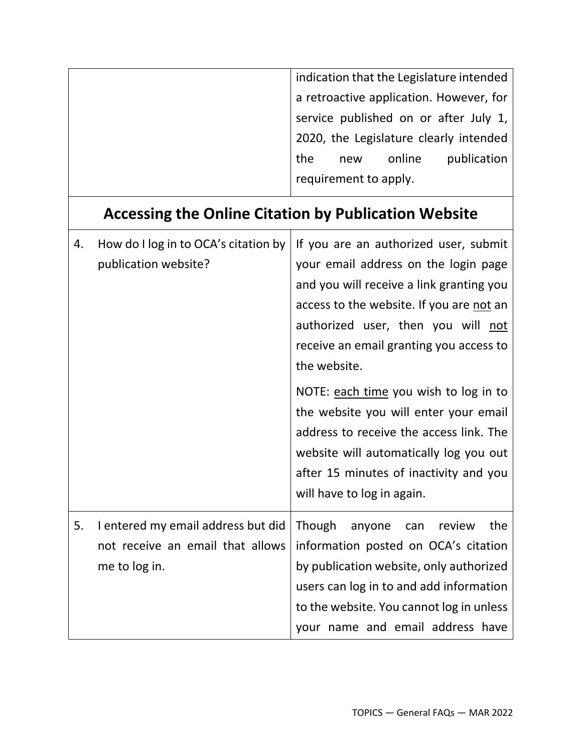| indication that the Legislature intended |
|------------------------------------------|
| a retroactive application. However, for  |
| service published on or after July 1,    |
| 2020, the Legislature clearly intended   |
| publication<br>online<br>the<br>new      |
| requirement to apply.                    |
|                                          |

## **Accessing the Online Citation by Publication Website**

| 4. | How do I log in to OCA's citation by | If you are an authorized user, submit                                            |
|----|--------------------------------------|----------------------------------------------------------------------------------|
|    | publication website?                 | your email address on the login page<br>and you will receive a link granting you |
|    |                                      |                                                                                  |
|    |                                      | access to the website. If you are not an                                         |
|    |                                      | authorized user, then you will not                                               |
|    |                                      | receive an email granting you access to                                          |
|    |                                      | the website.                                                                     |
|    |                                      | NOTE: each time you wish to log in to                                            |
|    |                                      | the website you will enter your email                                            |
|    |                                      | address to receive the access link. The                                          |
|    |                                      | website will automatically log you out                                           |
|    |                                      | after 15 minutes of inactivity and you                                           |
|    |                                      | will have to log in again.                                                       |
| 5. | I entered my email address but did   | Though<br>the<br>review<br>anyone<br>can                                         |
|    | not receive an email that allows     | information posted on OCA's citation                                             |
|    | me to log in.                        | by publication website, only authorized                                          |
|    |                                      | users can log in to and add information                                          |
|    |                                      | to the website. You cannot log in unless                                         |
|    |                                      | your name and email address have                                                 |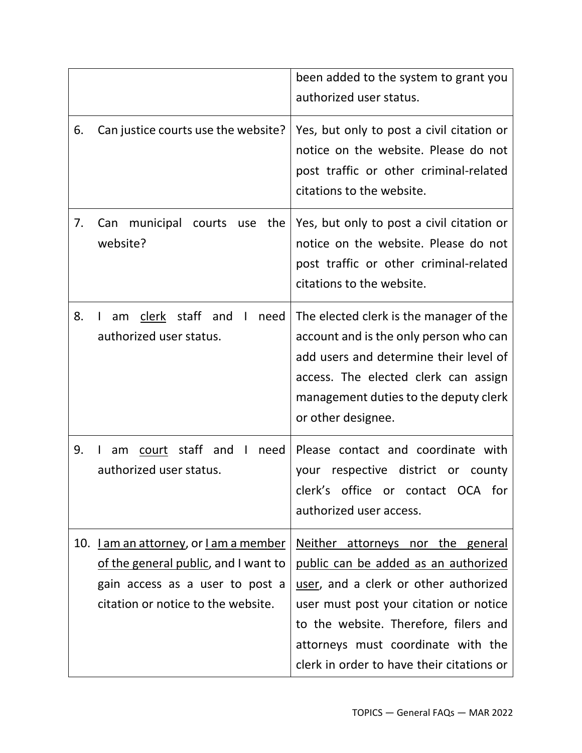|     |                                                                                                                                                                    | been added to the system to grant you<br>authorized user status.                                                                                                                                                                                                                         |
|-----|--------------------------------------------------------------------------------------------------------------------------------------------------------------------|------------------------------------------------------------------------------------------------------------------------------------------------------------------------------------------------------------------------------------------------------------------------------------------|
| 6.  | Can justice courts use the website?                                                                                                                                | Yes, but only to post a civil citation or<br>notice on the website. Please do not<br>post traffic or other criminal-related<br>citations to the website.                                                                                                                                 |
| 7.  | municipal<br>the<br>Can<br>courts<br>use<br>website?                                                                                                               | Yes, but only to post a civil citation or<br>notice on the website. Please do not<br>post traffic or other criminal-related<br>citations to the website.                                                                                                                                 |
| 8.  | clerk staff and<br>$\blacksquare$<br>need<br>am<br>authorized user status.                                                                                         | The elected clerk is the manager of the<br>account and is the only person who can<br>add users and determine their level of<br>access. The elected clerk can assign<br>management duties to the deputy clerk<br>or other designee.                                                       |
| 9.  | staff<br>and<br>need<br>am<br>court<br>authorized user status.                                                                                                     | Please contact and coordinate with<br>respective district or county<br>your<br>clerk's office or contact OCA for<br>authorized user access.                                                                                                                                              |
| 10. | <u>I am an attorney</u> , or <u>I am a member</u><br>of the general public, and I want to<br>gain access as a user to post a<br>citation or notice to the website. | Neither attorneys nor the general<br>public can be added as an authorized<br>user, and a clerk or other authorized<br>user must post your citation or notice<br>to the website. Therefore, filers and<br>attorneys must coordinate with the<br>clerk in order to have their citations or |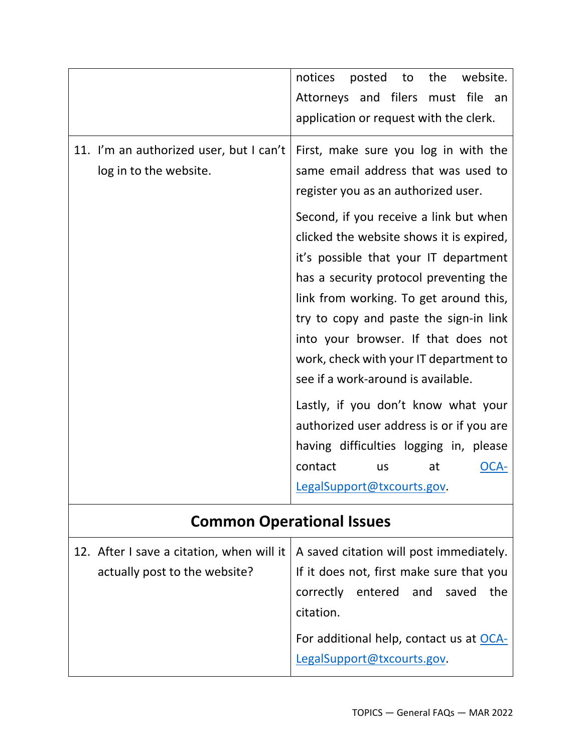|                                                                   | the<br>notices<br>posted<br>to<br>website.<br>Attorneys and filers<br>file<br>must<br>an<br>application or request with the clerk.                                                                                                                                                                                                                                                                                     |
|-------------------------------------------------------------------|------------------------------------------------------------------------------------------------------------------------------------------------------------------------------------------------------------------------------------------------------------------------------------------------------------------------------------------------------------------------------------------------------------------------|
| 11. I'm an authorized user, but I can't<br>log in to the website. | First, make sure you log in with the<br>same email address that was used to<br>register you as an authorized user.<br>Second, if you receive a link but when<br>clicked the website shows it is expired,<br>it's possible that your IT department<br>has a security protocol preventing the<br>link from working. To get around this,<br>try to copy and paste the sign-in link<br>into your browser. If that does not |
|                                                                   | work, check with your IT department to<br>see if a work-around is available.                                                                                                                                                                                                                                                                                                                                           |
|                                                                   | Lastly, if you don't know what your<br>authorized user address is or if you are<br>having difficulties logging in, please<br>contact<br>OCA-<br>at<br>us<br>LegalSupport@txcourts.gov.                                                                                                                                                                                                                                 |
|                                                                   | <b>Common Operational Issues</b>                                                                                                                                                                                                                                                                                                                                                                                       |
|                                                                   | 12. After I save a citation, when will it $\vert$ A saved citation will post immediately.                                                                                                                                                                                                                                                                                                                              |

citation.

actually post to the website?

If it does not, first make sure that you

correctly entered and saved the

For additional help, contact us at [OCA-](mailto:OCA-LegalSupport@txcourts.gov)

[LegalSupport@txcourts.gov.](mailto:OCA-LegalSupport@txcourts.gov)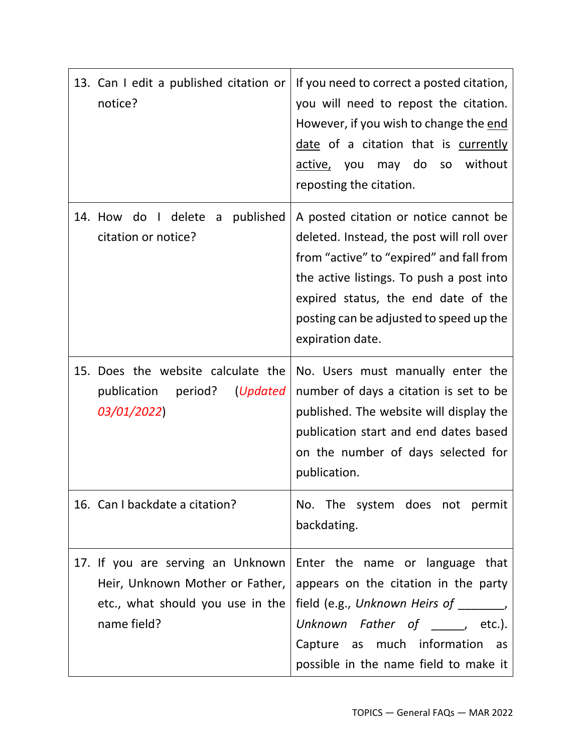| 13. Can I edit a published citation or<br>notice?                                                                       | If you need to correct a posted citation,<br>you will need to repost the citation.<br>However, if you wish to change the end<br>date of a citation that is currently<br>may do so without<br>active, you<br>reposting the citation.                                              |
|-------------------------------------------------------------------------------------------------------------------------|----------------------------------------------------------------------------------------------------------------------------------------------------------------------------------------------------------------------------------------------------------------------------------|
| 14. How do I delete<br>published<br>a<br>citation or notice?                                                            | A posted citation or notice cannot be<br>deleted. Instead, the post will roll over<br>from "active" to "expired" and fall from<br>the active listings. To push a post into<br>expired status, the end date of the<br>posting can be adjusted to speed up the<br>expiration date. |
| 15. Does the website calculate the<br>publication period?<br>(Updated<br>03/01/2022)                                    | No. Users must manually enter the<br>number of days a citation is set to be<br>published. The website will display the<br>publication start and end dates based<br>on the number of days selected for<br>publication.                                                            |
| 16. Can I backdate a citation?                                                                                          | No. The system does not permit<br>backdating.                                                                                                                                                                                                                                    |
| 17. If you are serving an Unknown<br>Heir, Unknown Mother or Father,<br>etc., what should you use in the<br>name field? | Enter the name or language that<br>appears on the citation in the party<br>field (e.g., Unknown Heirs of ______,<br>Unknown Father of $\rule{1em}{0.15mm}$ etc.).<br>Capture as much information<br>as<br>possible in the name field to make it                                  |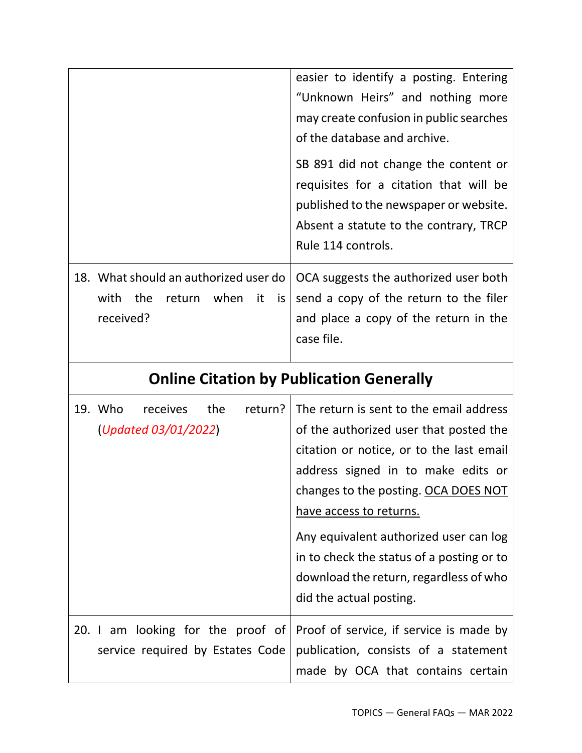|                                                                                              | easier to identify a posting. Entering<br>"Unknown Heirs" and nothing more<br>may create confusion in public searches<br>of the database and archive.<br>SB 891 did not change the content or<br>requisites for a citation that will be<br>published to the newspaper or website.<br>Absent a statute to the contrary, TRCP<br>Rule 114 controls.                                                  |
|----------------------------------------------------------------------------------------------|----------------------------------------------------------------------------------------------------------------------------------------------------------------------------------------------------------------------------------------------------------------------------------------------------------------------------------------------------------------------------------------------------|
| 18. What should an authorized user do<br>with<br>the<br>return when<br>it<br>is<br>received? | OCA suggests the authorized user both<br>send a copy of the return to the filer<br>and place a copy of the return in the<br>case file.                                                                                                                                                                                                                                                             |
|                                                                                              | <b>Online Citation by Publication Generally</b>                                                                                                                                                                                                                                                                                                                                                    |
| 19. Who<br>the<br>return?<br>receives<br>(Updated 03/01/2022)                                | The return is sent to the email address<br>of the authorized user that posted the<br>citation or notice, or to the last email<br>address signed in to make edits or<br>changes to the posting. OCA DOES NOT<br>have access to returns.<br>Any equivalent authorized user can log<br>in to check the status of a posting or to<br>download the return, regardless of who<br>did the actual posting. |
| 20. I am looking for the proof of<br>service required by Estates Code                        | Proof of service, if service is made by<br>publication, consists of a statement<br>made by OCA that contains certain                                                                                                                                                                                                                                                                               |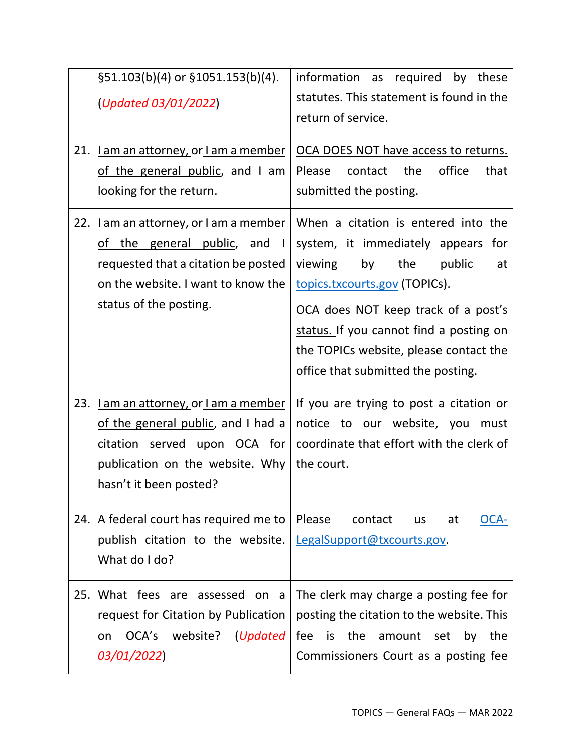| $\S51.103(b)(4)$ or $\S1051.153(b)(4)$ .<br>(Updated 03/01/2022)                                                                                                                            | information as required by these<br>statutes. This statement is found in the<br>return of service.                                                                                                                                                                                                                   |
|---------------------------------------------------------------------------------------------------------------------------------------------------------------------------------------------|----------------------------------------------------------------------------------------------------------------------------------------------------------------------------------------------------------------------------------------------------------------------------------------------------------------------|
| 21. Lam an attorney, or Lam a member<br>of the general public, and I am<br>looking for the return.                                                                                          | OCA DOES NOT have access to returns.<br>the<br>office<br>Please<br>contact<br>that<br>submitted the posting.                                                                                                                                                                                                         |
| 22. Lam an attorney, or Lam a member<br>of the general public, and<br>$\blacksquare$<br>requested that a citation be posted<br>on the website. I want to know the<br>status of the posting. | When a citation is entered into the<br>system, it immediately appears for<br>viewing<br>by<br>the<br>public<br>at<br>topics.txcourts.gov (TOPICs).<br>OCA does NOT keep track of a post's<br>status. If you cannot find a posting on<br>the TOPICs website, please contact the<br>office that submitted the posting. |
| 23. Lam an attorney, or Lam a member<br>of the general public, and I had a<br>citation served upon OCA for<br>publication on the website. Why<br>hasn't it been posted?                     | If you are trying to post a citation or<br>notice to our website, you must<br>coordinate that effort with the clerk of<br>the court.                                                                                                                                                                                 |
| 24. A federal court has required me to<br>publish citation to the website.<br>What do I do?                                                                                                 | Please<br>contact<br>at<br>OCA-<br>us<br>LegalSupport@txcourts.gov.                                                                                                                                                                                                                                                  |
| 25. What fees are assessed on a<br>request for Citation by Publication<br>OCA's website? (Updated<br>on<br>03/01/2022)                                                                      | The clerk may charge a posting fee for<br>posting the citation to the website. This<br>is the amount set by the<br>fee<br>Commissioners Court as a posting fee                                                                                                                                                       |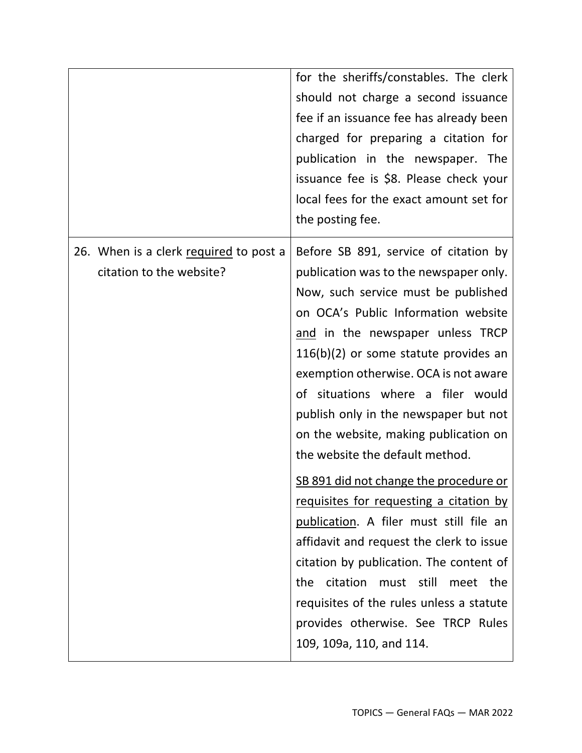|                                                                    | for the sheriffs/constables. The clerk<br>should not charge a second issuance<br>fee if an issuance fee has already been<br>charged for preparing a citation for<br>publication in the newspaper. The<br>issuance fee is \$8. Please check your<br>local fees for the exact amount set for<br>the posting fee.                                                                                                                                                                                                                                                                                                                                                                                                                                                                                                                       |
|--------------------------------------------------------------------|--------------------------------------------------------------------------------------------------------------------------------------------------------------------------------------------------------------------------------------------------------------------------------------------------------------------------------------------------------------------------------------------------------------------------------------------------------------------------------------------------------------------------------------------------------------------------------------------------------------------------------------------------------------------------------------------------------------------------------------------------------------------------------------------------------------------------------------|
| 26. When is a clerk required to post a<br>citation to the website? | Before SB 891, service of citation by<br>publication was to the newspaper only.<br>Now, such service must be published<br>on OCA's Public Information website<br>and in the newspaper unless TRCP<br>$116(b)(2)$ or some statute provides an<br>exemption otherwise. OCA is not aware<br>of situations where a filer would<br>publish only in the newspaper but not<br>on the website, making publication on<br>the website the default method.<br>SB 891 did not change the procedure or<br>requisites for requesting a citation by<br>publication. A filer must still file an<br>affidavit and request the clerk to issue<br>citation by publication. The content of<br>citation<br>the<br>must still<br>the<br>meet<br>requisites of the rules unless a statute<br>provides otherwise. See TRCP Rules<br>109, 109a, 110, and 114. |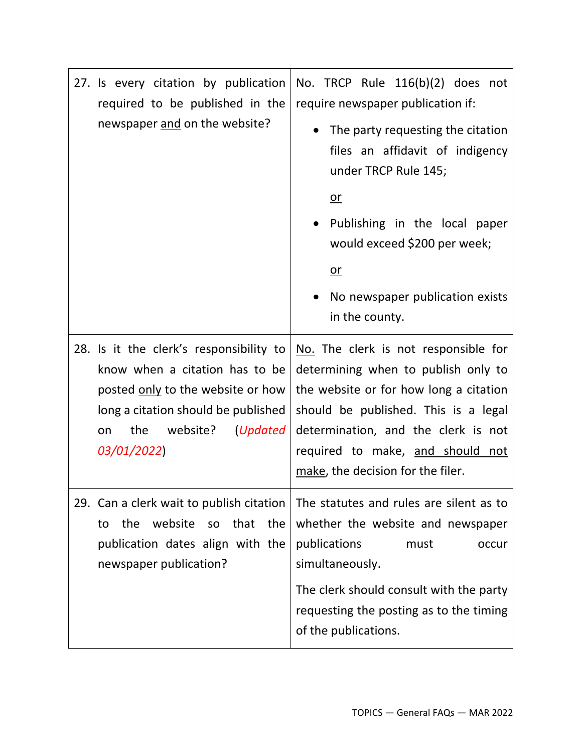| 27. Is every citation by publication<br>required to be published in the<br>newspaper and on the website? | No. TRCP Rule 116(b)(2) does not<br>require newspaper publication if:<br>The party requesting the citation<br>files an affidavit of indigency<br>under TRCP Rule 145;<br>$or$<br>Publishing in the local paper<br>would exceed \$200 per week;<br>$or$<br>No newspaper publication exists<br>in the county. |
|----------------------------------------------------------------------------------------------------------|-------------------------------------------------------------------------------------------------------------------------------------------------------------------------------------------------------------------------------------------------------------------------------------------------------------|
| 28. Is it the clerk's responsibility to                                                                  | No. The clerk is not responsible for                                                                                                                                                                                                                                                                        |
| know when a citation has to be                                                                           | determining when to publish only to                                                                                                                                                                                                                                                                         |
| posted only to the website or how                                                                        | the website or for how long a citation                                                                                                                                                                                                                                                                      |
| long a citation should be published                                                                      | should be published. This is a legal                                                                                                                                                                                                                                                                        |
| the website? (Updated                                                                                    | determination, and the clerk is not                                                                                                                                                                                                                                                                         |
| on                                                                                                       | required to make, and should not                                                                                                                                                                                                                                                                            |
| 03/01/2022)                                                                                              | make, the decision for the filer.                                                                                                                                                                                                                                                                           |
| 29. Can a clerk wait to publish citation                                                                 | The statutes and rules are silent as to                                                                                                                                                                                                                                                                     |
| website                                                                                                  | whether the website and newspaper                                                                                                                                                                                                                                                                           |
| the                                                                                                      | publications                                                                                                                                                                                                                                                                                                |
| that                                                                                                     | must                                                                                                                                                                                                                                                                                                        |
| the                                                                                                      | occur                                                                                                                                                                                                                                                                                                       |
| <b>SO</b>                                                                                                | simultaneously.                                                                                                                                                                                                                                                                                             |
| to                                                                                                       | The clerk should consult with the party                                                                                                                                                                                                                                                                     |
| publication dates align with the                                                                         | requesting the posting as to the timing                                                                                                                                                                                                                                                                     |
| newspaper publication?                                                                                   | of the publications.                                                                                                                                                                                                                                                                                        |